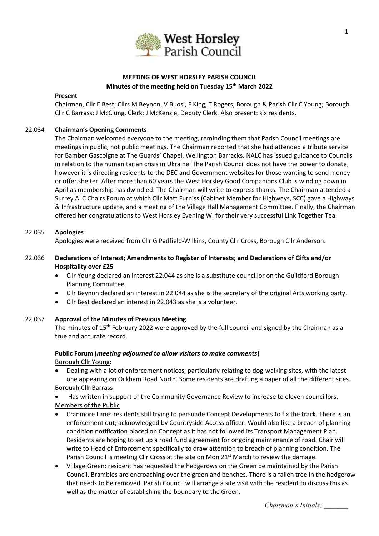

# **MEETING OF WEST HORSLEY PARISH COUNCIL Minutes of the meeting held on Tuesday 15 th March 2022**

#### **Present**

Chairman, Cllr E Best; Cllrs M Beynon, V Buosi, F King, T Rogers; Borough & Parish Cllr C Young; Borough Cllr C Barrass; J McClung, Clerk; J McKenzie, Deputy Clerk. Also present: six residents.

# 22.034 **Chairman's Opening Comments**

The Chairman welcomed everyone to the meeting, reminding them that Parish Council meetings are meetings in public, not public meetings. The Chairman reported that she had attended a tribute service for Bamber Gascoigne at The Guards' Chapel, Wellington Barracks. NALC has issued guidance to Councils in relation to the humanitarian crisis in Ukraine. The Parish Council does not have the power to donate, however it is directing residents to the DEC and Government websites for those wanting to send money or offer shelter. After more than 60 years the West Horsley Good Companions Club is winding down in April as membership has dwindled. The Chairman will write to express thanks. The Chairman attended a Surrey ALC Chairs Forum at which Cllr Matt Furniss (Cabinet Member for Highways, SCC) gave a Highways & Infrastructure update, and a meeting of the Village Hall Management Committee. Finally, the Chairman offered her congratulations to West Horsley Evening WI for their very successful Link Together Tea.

### 22.035 **Apologies**

Apologies were received from Cllr G Padfield-Wilkins, County Cllr Cross, Borough Cllr Anderson.

# 22.036 **Declarations of Interest; Amendments to Register of Interests; and Declarations of Gifts and/or Hospitality over £25**

- Cllr Young declared an interest 22.044 as she is a substitute councillor on the Guildford Borough Planning Committee
- Cllr Beynon declared an interest in 22.044 as she is the secretary of the original Arts working party.
- Cllr Best declared an interest in 22.043 as she is a volunteer.

### 22.037 **Approval of the Minutes of Previous Meeting**

The minutes of 15<sup>th</sup> February 2022 were approved by the full council and signed by the Chairman as a true and accurate record.

# **Public Forum (***meeting adjourned to allow visitors to make comments***)**

Borough Cllr Young:

• Dealing with a lot of enforcement notices, particularly relating to dog-walking sites, with the latest one appearing on Ockham Road North. Some residents are drafting a paper of all the different sites. Borough Cllr Barrass

• Has written in support of the Community Governance Review to increase to eleven councillors. Members of the Public

- Cranmore Lane: residents still trying to persuade Concept Developments to fix the track. There is an enforcement out; acknowledged by Countryside Access officer. Would also like a breach of planning condition notification placed on Concept as it has not followed its Transport Management Plan. Residents are hoping to set up a road fund agreement for ongoing maintenance of road. Chair will write to Head of Enforcement specifically to draw attention to breach of planning condition. The Parish Council is meeting Cllr Cross at the site on Mon  $21^{st}$  March to review the damage.
- Village Green: resident has requested the hedgerows on the Green be maintained by the Parish Council. Brambles are encroaching over the green and benches. There is a fallen tree in the hedgerow that needs to be removed. Parish Council will arrange a site visit with the resident to discuss this as well as the matter of establishing the boundary to the Green.

*Chairman's Initials: \_\_\_\_\_\_\_*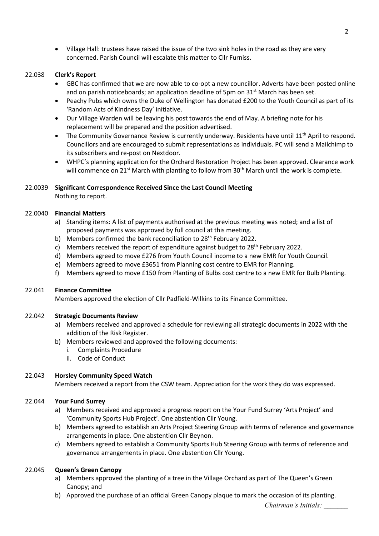• Village Hall: trustees have raised the issue of the two sink holes in the road as they are very concerned. Parish Council will escalate this matter to Cllr Furniss.

# 22.038 **Clerk's Report**

- GBC has confirmed that we are now able to co-opt a new councillor. Adverts have been posted online and on parish noticeboards; an application deadline of 5pm on  $31<sup>st</sup>$  March has been set.
- Peachy Pubs which owns the Duke of Wellington has donated £200 to the Youth Council as part of its 'Random Acts of Kindness Day' initiative.
- Our Village Warden will be leaving his post towards the end of May. A briefing note for his replacement will be prepared and the position advertised.
- The Community Governance Review is currently underway. Residents have until  $11<sup>th</sup>$  April to respond. Councillors and are encouraged to submit representations as individuals. PC will send a Mailchimp to its subscribers and re-post on Nextdoor.
- WHPC's planning application for the Orchard Restoration Project has been approved. Clearance work will commence on 21<sup>st</sup> March with planting to follow from 30<sup>th</sup> March until the work is complete.

# 22.0039 **Significant Correspondence Received Since the Last Council Meeting**

Nothing to report.

# 22.0040 **Financial Matters**

- a) Standing items: A list of payments authorised at the previous meeting was noted; and a list of proposed payments was approved by full council at this meeting.
- b) Members confirmed the bank reconciliation to 28<sup>th</sup> February 2022.
- c) Members received the report of expenditure against budget to  $28<sup>th</sup>$  February 2022.
- d) Members agreed to move £276 from Youth Council income to a new EMR for Youth Council.
- e) Members agreed to move £3651 from Planning cost centre to EMR for Planning.
- f) Members agreed to move £150 from Planting of Bulbs cost centre to a new EMR for Bulb Planting.

# 22.041 **Finance Committee**

Members approved the election of Cllr Padfield-Wilkins to its Finance Committee.

### 22.042 **Strategic Documents Review**

- a) Members received and approved a schedule for reviewing all strategic documents in 2022 with the addition of the Risk Register.
- b) Members reviewed and approved the following documents:
	- i. Complaints Procedure
	- ii. Code of Conduct

# 22.043 **Horsley Community Speed Watch**

Members received a report from the CSW team. Appreciation for the work they do was expressed.

# 22.044 **Your Fund Surrey**

- a) Members received and approved a progress report on the Your Fund Surrey 'Arts Project' and 'Community Sports Hub Project'. One abstention Cllr Young.
- b) Members agreed to establish an Arts Project Steering Group with terms of reference and governance arrangements in place. One abstention Cllr Beynon.
- c) Members agreed to establish a Community Sports Hub Steering Group with terms of reference and governance arrangements in place. One abstention Cllr Young.

# 22.045 **Queen's Green Canopy**

- a) Members approved the planting of a tree in the Village Orchard as part of The Queen's Green Canopy; and
- b) Approved the purchase of an official Green Canopy plaque to mark the occasion of its planting.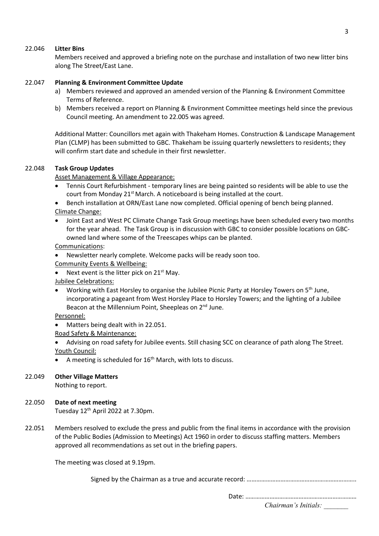### 22.046 **Litter Bins**

Members received and approved a briefing note on the purchase and installation of two new litter bins along The Street/East Lane.

### 22.047 **Planning & Environment Committee Update**

- a) Members reviewed and approved an amended version of the Planning & Environment Committee Terms of Reference.
- b) Members received a report on Planning & Environment Committee meetings held since the previous Council meeting. An amendment to 22.005 was agreed.

Additional Matter: Councillors met again with Thakeham Homes. Construction & Landscape Management Plan (CLMP) has been submitted to GBC. Thakeham be issuing quarterly newsletters to residents; they will confirm start date and schedule in their first newsletter.

#### 22.048 **Task Group Updates**

Asset Management & Village Appearance:

- Tennis Court Refurbishment temporary lines are being painted so residents will be able to use the court from Monday 21<sup>st</sup> March. A noticeboard is being installed at the court.
- Bench installation at ORN/East Lane now completed. Official opening of bench being planned. Climate Change:
- Joint East and West PC Climate Change Task Group meetings have been scheduled every two months for the year ahead. The Task Group is in discussion with GBC to consider possible locations on GBCowned land where some of the Treescapes whips can be planted.

Communications:

- Newsletter nearly complete. Welcome packs will be ready soon too.
- Community Events & Wellbeing:
- Next event is the litter pick on  $21^{st}$  May.

Jubilee Celebrations:

• Working with East Horsley to organise the Jubilee Picnic Party at Horsley Towers on 5th June, incorporating a pageant from West Horsley Place to Horsley Towers; and the lighting of a Jubilee Beacon at the Millennium Point, Sheepleas on 2<sup>nd</sup> June.

Personnel:

• Matters being dealt with in 22.051.

Road Safety & Maintenance:

- Advising on road safety for Jubilee events. Still chasing SCC on clearance of path along The Street. Youth Council:
- A meeting is scheduled for  $16<sup>th</sup>$  March, with lots to discuss.

### 22.049 **Other Village Matters**

Nothing to report.

### 22.050 **Date of next meeting**

Tuesday 12<sup>th</sup> April 2022 at 7.30pm.

22.051 Members resolved to exclude the press and public from the final items in accordance with the provision of the Public Bodies (Admission to Meetings) Act 1960 in order to discuss staffing matters. Members approved all recommendations as set out in the briefing papers.

The meeting was closed at 9.19pm.

Signed by the Chairman as a true and accurate record: …………………………………………………………..

*Chairman's Initials: \_\_\_\_\_\_\_* Date: ……………………………………………………………